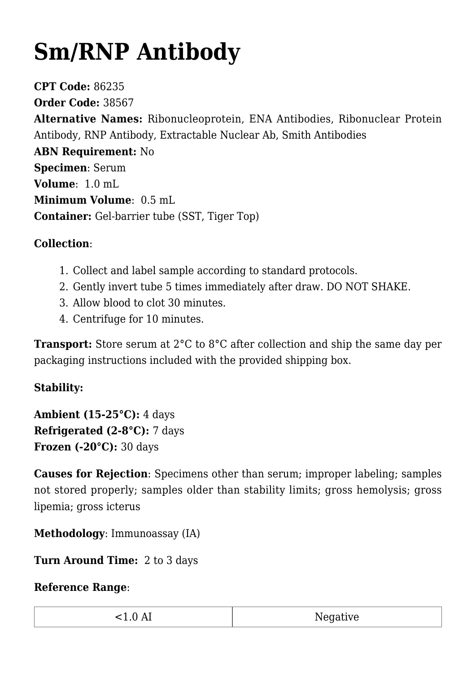## **[Sm/RNP Antibody](https://www.clevelandheartlab.com/tests/sm-rnp-antibody/)**

**CPT Code:** 86235 **Order Code:** 38567 **Alternative Names:** Ribonucleoprotein, ENA Antibodies, Ribonuclear Protein Antibody, RNP Antibody, Extractable Nuclear Ab, Smith Antibodies **ABN Requirement:** No **Specimen**: Serum **Volume**: 1.0 mL **Minimum Volume**: 0.5 mL **Container:** Gel-barrier tube (SST, Tiger Top)

## **Collection**:

- 1. Collect and label sample according to standard protocols.
- 2. Gently invert tube 5 times immediately after draw. DO NOT SHAKE.
- 3. Allow blood to clot 30 minutes.
- 4. Centrifuge for 10 minutes.

**Transport:** Store serum at 2°C to 8°C after collection and ship the same day per packaging instructions included with the provided shipping box.

## **Stability:**

**Ambient (15-25°C):** 4 days **Refrigerated (2-8°C):** 7 days **Frozen (-20°C):** 30 days

**Causes for Rejection**: Specimens other than serum; improper labeling; samples not stored properly; samples older than stability limits; gross hemolysis; gross lipemia; gross icterus

**Methodology**: Immunoassay (IA)

**Turn Around Time:** 2 to 3 days

## **Reference Range**:

| $\overline{\phantom{a}}$<br>$\cdot$ . $\cup$ $\Gamma$ . | Negative |
|---------------------------------------------------------|----------|
|                                                         |          |